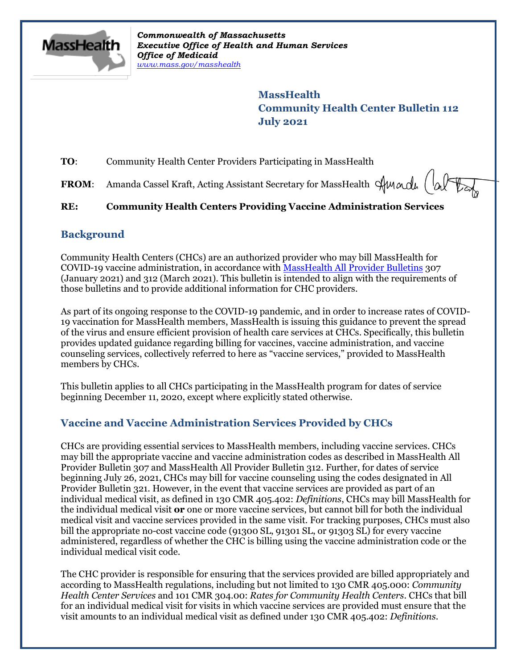

*Commonwealth of Massachusetts Executive Office of Health and Human Services Office of Medicaid [www.mass.gov/masshealth](http://www.mass.gov/masshealth)*

> **MassHealth Community Health Center Bulletin 112 July 2021**

**TO**: Community Health Center Providers Participating in MassHealth

**FROM:** Amanda Cassel Kraft, Acting Assistant Secretary for MassHealth  $\forall$ Mandu  $\begin{pmatrix} \n\phi & \n\phi & \n\end{pmatrix}$ 

# **RE: Community Health Centers Providing Vaccine Administration Services**

## **Background**

Community Health Centers (CHCs) are an authorized provider who may bill MassHealth for COVID-19 vaccine administration, in accordance with [MassHealth All Provider Bulletins](https://www.mass.gov/lists/all-provider-bulletins) 307 (January 2021) and 312 (March 2021). This bulletin is intended to align with the requirements of those bulletins and to provide additional information for CHC providers.

As part of its ongoing response to the COVID-19 pandemic, and in order to increase rates of COVID-19 vaccination for MassHealth members, MassHealth is issuing this guidance to prevent the spread of the virus and ensure efficient provision of health care services at CHCs. Specifically, this bulletin provides updated guidance regarding billing for vaccines, vaccine administration, and vaccine counseling services, collectively referred to here as "vaccine services," provided to MassHealth members by CHCs.

This bulletin applies to all CHCs participating in the MassHealth program for dates of service beginning December 11, 2020, except where explicitly stated otherwise.

# **Vaccine and Vaccine Administration Services Provided by CHCs**

CHCs are providing essential services to MassHealth members, including vaccine services. CHCs may bill the appropriate vaccine and vaccine administration codes as described in MassHealth All Provider Bulletin 307 and MassHealth All Provider Bulletin 312. Further, for dates of service beginning July 26, 2021, CHCs may bill for vaccine counseling using the codes designated in All Provider Bulletin 321. However, in the event that vaccine services are provided as part of an individual medical visit, as defined in 130 CMR 405.402: *Definitions*, CHCs may bill MassHealth for the individual medical visit **or** one or more vaccine services, but cannot bill for both the individual medical visit and vaccine services provided in the same visit. For tracking purposes, CHCs must also bill the appropriate no-cost vaccine code (91300 SL, 91301 SL, or 91303 SL) for every vaccine administered, regardless of whether the CHC is billing using the vaccine administration code or the individual medical visit code.

The CHC provider is responsible for ensuring that the services provided are billed appropriately and according to MassHealth regulations, including but not limited to 130 CMR 405.000: *Community Health Center Services* and 101 CMR 304.00: *Rates for Community Health Centers*. CHCs that bill for an individual medical visit for visits in which vaccine services are provided must ensure that the visit amounts to an individual medical visit as defined under 130 CMR 405.402: *Definitions*.